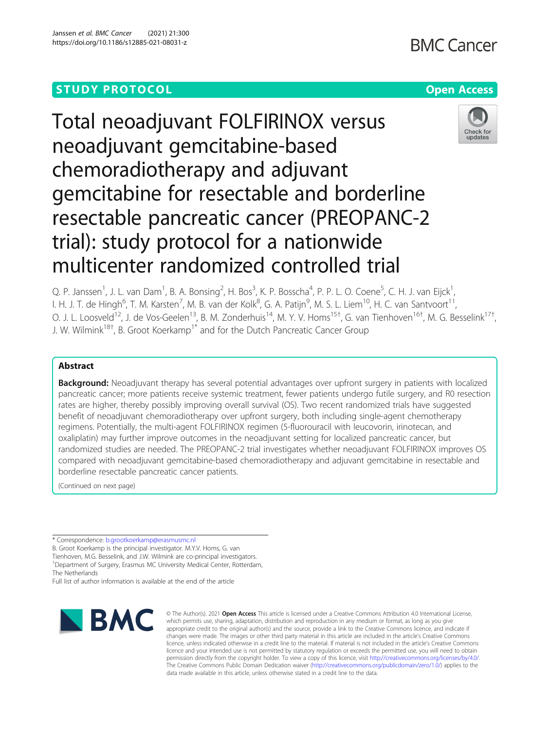## **STUDY PROTOCOL CONSUMING THE RESERVE ACCESS**

# **BMC Cancer**





Total neoadjuvant FOLFIRINOX versus neoadjuvant gemcitabine-based chemoradiotherapy and adjuvant gemcitabine for resectable and borderline resectable pancreatic cancer (PREOPANC-2 trial): study protocol for a nationwide multicenter randomized controlled trial

Q. P. Janssen<sup>1</sup>, J. L. van Dam<sup>1</sup>, B. A. Bonsing<sup>2</sup>, H. Bos<sup>3</sup>, K. P. Bosscha<sup>4</sup>, P. P. L. O. Coene<sup>5</sup>, C. H. J. van Eijck<sup>1</sup> , I. H. J. T. de Hingh<sup>6</sup>, T. M. Karsten<sup>7</sup>, M. B. van der Kolk<sup>8</sup>, G. A. Patijn<sup>9</sup>, M. S. L. Liem<sup>10</sup>, H. C. van Santvoort<sup>11</sup>, O. J. L. Loosveld<sup>12</sup>, J. de Vos-Geelen<sup>13</sup>, B. M. Zonderhuis<sup>14</sup>, M. Y. V. Homs<sup>15†</sup>, G. van Tienhoven<sup>16†</sup>, M. G. Besselink<sup>17†</sup> , J. W. Wilmink<sup>18†</sup>, B. Groot Koerkamp<sup>1\*</sup> and for the Dutch Pancreatic Cancer Group

## Abstract

Background: Neoadjuvant therapy has several potential advantages over upfront surgery in patients with localized pancreatic cancer; more patients receive systemic treatment, fewer patients undergo futile surgery, and R0 resection rates are higher, thereby possibly improving overall survival (OS). Two recent randomized trials have suggested benefit of neoadjuvant chemoradiotherapy over upfront surgery, both including single-agent chemotherapy regimens. Potentially, the multi-agent FOLFIRINOX regimen (5-fluorouracil with leucovorin, irinotecan, and oxaliplatin) may further improve outcomes in the neoadjuvant setting for localized pancreatic cancer, but randomized studies are needed. The PREOPANC-2 trial investigates whether neoadjuvant FOLFIRINOX improves OS compared with neoadjuvant gemcitabine-based chemoradiotherapy and adjuvant gemcitabine in resectable and borderline resectable pancreatic cancer patients.

(Continued on next page)

\* Correspondence: [b.grootkoerkamp@erasmusmc.nl](mailto:b.grootkoerkamp@erasmusmc.nl)

B. Groot Koerkamp is the principal investigator. M.Y.V. Homs, G. van Tienhoven, M.G. Besselink, and J.W. Wilmink are co-principal investigators.

<sup>1</sup>Department of Surgery, Erasmus MC University Medical Center, Rotterdam,

The Netherlands

Full list of author information is available at the end of the article



© The Author(s), 2021 **Open Access** This article is licensed under a Creative Commons Attribution 4.0 International License, which permits use, sharing, adaptation, distribution and reproduction in any medium or format, as long as you give appropriate credit to the original author(s) and the source, provide a link to the Creative Commons licence, and indicate if changes were made. The images or other third party material in this article are included in the article's Creative Commons licence, unless indicated otherwise in a credit line to the material. If material is not included in the article's Creative Commons licence and your intended use is not permitted by statutory regulation or exceeds the permitted use, you will need to obtain permission directly from the copyright holder. To view a copy of this licence, visit [http://creativecommons.org/licenses/by/4.0/.](http://creativecommons.org/licenses/by/4.0/) The Creative Commons Public Domain Dedication waiver [\(http://creativecommons.org/publicdomain/zero/1.0/](http://creativecommons.org/publicdomain/zero/1.0/)) applies to the data made available in this article, unless otherwise stated in a credit line to the data.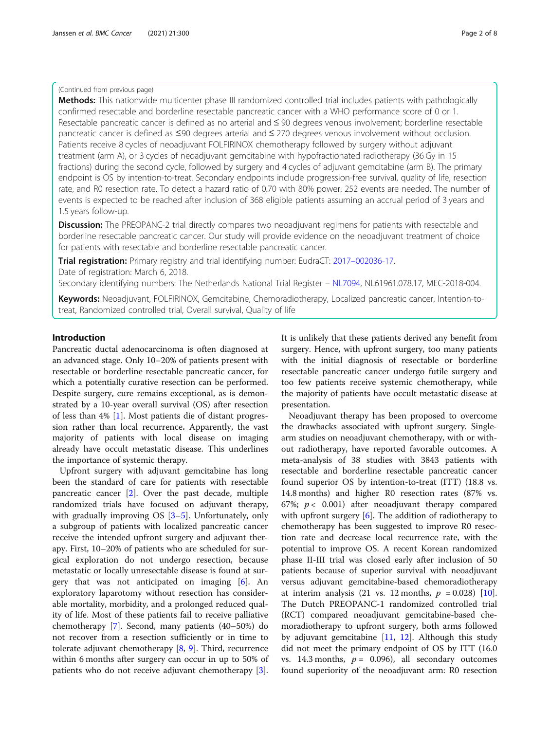## (Continued from previous page)

Methods: This nationwide multicenter phase III randomized controlled trial includes patients with pathologically confirmed resectable and borderline resectable pancreatic cancer with a WHO performance score of 0 or 1. Resectable pancreatic cancer is defined as no arterial and ≤ 90 degrees venous involvement; borderline resectable pancreatic cancer is defined as ≤90 degrees arterial and ≤ 270 degrees venous involvement without occlusion. Patients receive 8 cycles of neoadjuvant FOLFIRINOX chemotherapy followed by surgery without adjuvant treatment (arm A), or 3 cycles of neoadjuvant gemcitabine with hypofractionated radiotherapy (36 Gy in 15 fractions) during the second cycle, followed by surgery and 4 cycles of adjuvant gemcitabine (arm B). The primary endpoint is OS by intention-to-treat. Secondary endpoints include progression-free survival, quality of life, resection rate, and R0 resection rate. To detect a hazard ratio of 0.70 with 80% power, 252 events are needed. The number of events is expected to be reached after inclusion of 368 eligible patients assuming an accrual period of 3 years and 1.5 years follow-up.

**Discussion:** The PREOPANC-2 trial directly compares two neoadjuvant regimens for patients with resectable and borderline resectable pancreatic cancer. Our study will provide evidence on the neoadjuvant treatment of choice for patients with resectable and borderline resectable pancreatic cancer.

Trial registration: Primary registry and trial identifying number: EudraCT: 2017–[002036-17](https://www.clinicaltrialsregister.eu/ctr-search/search?query=PREOPANC-2). Date of registration: March 6, 2018.

Secondary identifying numbers: The Netherlands National Trial Register – [NL7094](https://www.trialregister.nl/trial/7094), NL61961.078.17, MEC-2018-004.

Keywords: Neoadjuvant, FOLFIRINOX, Gemcitabine, Chemoradiotherapy, Localized pancreatic cancer, Intention-totreat, Randomized controlled trial, Overall survival, Quality of life

## Introduction

Pancreatic ductal adenocarcinoma is often diagnosed at an advanced stage. Only 10–20% of patients present with resectable or borderline resectable pancreatic cancer, for which a potentially curative resection can be performed. Despite surgery, cure remains exceptional, as is demonstrated by a 10-year overall survival (OS) after resection of less than 4% [\[1](#page-6-0)]. Most patients die of distant progression rather than local recurrence. Apparently, the vast majority of patients with local disease on imaging already have occult metastatic disease. This underlines the importance of systemic therapy.

Upfront surgery with adjuvant gemcitabine has long been the standard of care for patients with resectable pancreatic cancer [\[2](#page-6-0)]. Over the past decade, multiple randomized trials have focused on adjuvant therapy, with gradually improving OS [\[3](#page-6-0)–[5\]](#page-6-0). Unfortunately, only a subgroup of patients with localized pancreatic cancer receive the intended upfront surgery and adjuvant therapy. First, 10–20% of patients who are scheduled for surgical exploration do not undergo resection, because metastatic or locally unresectable disease is found at surgery that was not anticipated on imaging [[6\]](#page-6-0). An exploratory laparotomy without resection has considerable mortality, morbidity, and a prolonged reduced quality of life. Most of these patients fail to receive palliative chemotherapy [\[7](#page-6-0)]. Second, many patients (40–50%) do not recover from a resection sufficiently or in time to tolerate adjuvant chemotherapy [[8,](#page-6-0) [9](#page-6-0)]. Third, recurrence within 6 months after surgery can occur in up to 50% of patients who do not receive adjuvant chemotherapy [\[3](#page-6-0)].

It is unlikely that these patients derived any benefit from surgery. Hence, with upfront surgery, too many patients with the initial diagnosis of resectable or borderline resectable pancreatic cancer undergo futile surgery and too few patients receive systemic chemotherapy, while the majority of patients have occult metastatic disease at presentation.

Neoadjuvant therapy has been proposed to overcome the drawbacks associated with upfront surgery. Singlearm studies on neoadjuvant chemotherapy, with or without radiotherapy, have reported favorable outcomes. A meta-analysis of 38 studies with 3843 patients with resectable and borderline resectable pancreatic cancer found superior OS by intention-to-treat (ITT) (18.8 vs. 14.8 months) and higher R0 resection rates (87% vs. 67%;  $p < 0.001$ ) after neoadjuvant therapy compared with upfront surgery [[6](#page-6-0)]. The addition of radiotherapy to chemotherapy has been suggested to improve R0 resection rate and decrease local recurrence rate, with the potential to improve OS. A recent Korean randomized phase II-III trial was closed early after inclusion of 50 patients because of superior survival with neoadjuvant versus adjuvant gemcitabine-based chemoradiotherapy at interim analysis (21 vs. 12 months,  $p = 0.028$ ) [\[10](#page-6-0)]. The Dutch PREOPANC-1 randomized controlled trial (RCT) compared neoadjuvant gemcitabine-based chemoradiotherapy to upfront surgery, both arms followed by adjuvant gemcitabine  $[11, 12]$  $[11, 12]$  $[11, 12]$  $[11, 12]$ . Although this study did not meet the primary endpoint of OS by ITT (16.0 vs. 14.3 months,  $p = 0.096$ ), all secondary outcomes found superiority of the neoadjuvant arm: R0 resection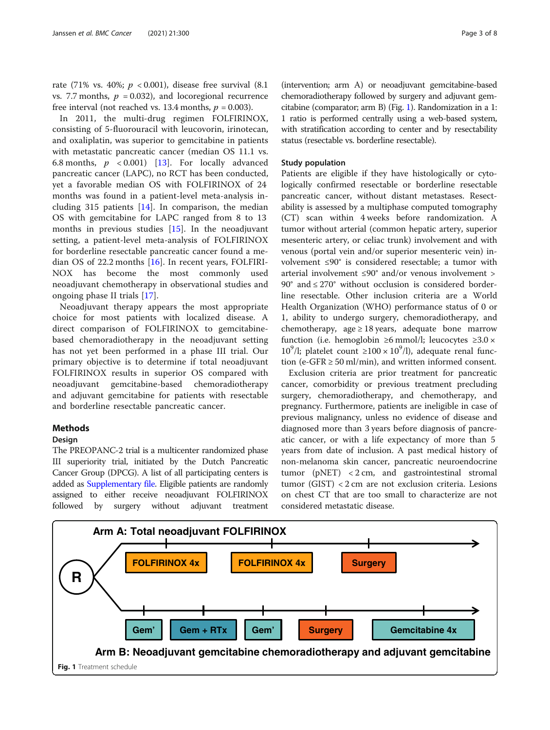<span id="page-2-0"></span>rate (71% vs. 40%;  $p < 0.001$ ), disease free survival (8.1) vs. 7.7 months,  $p = 0.032$ ), and locoregional recurrence free interval (not reached vs. 13.4 months,  $p = 0.003$ ).

In 2011, the multi-drug regimen FOLFIRINOX, consisting of 5-fluorouracil with leucovorin, irinotecan, and oxaliplatin, was superior to gemcitabine in patients with metastatic pancreatic cancer (median OS 11.1 vs. 6.8 months,  $p \leq 0.001$  [[13\]](#page-6-0). For locally advanced pancreatic cancer (LAPC), no RCT has been conducted, yet a favorable median OS with FOLFIRINOX of 24 months was found in a patient-level meta-analysis including 315 patients [[14\]](#page-6-0). In comparison, the median OS with gemcitabine for LAPC ranged from 8 to 13 months in previous studies [[15\]](#page-6-0). In the neoadjuvant setting, a patient-level meta-analysis of FOLFIRINOX for borderline resectable pancreatic cancer found a median OS of 22.2 months [\[16](#page-6-0)]. In recent years, FOLFIRI-NOX has become the most commonly used neoadjuvant chemotherapy in observational studies and ongoing phase II trials [\[17](#page-6-0)].

Neoadjuvant therapy appears the most appropriate choice for most patients with localized disease. A direct comparison of FOLFIRINOX to gemcitabinebased chemoradiotherapy in the neoadjuvant setting has not yet been performed in a phase III trial. Our primary objective is to determine if total neoadjuvant FOLFIRINOX results in superior OS compared with neoadjuvant gemcitabine-based chemoradiotherapy and adjuvant gemcitabine for patients with resectable and borderline resectable pancreatic cancer.

## Methods

#### Design

The PREOPANC-2 trial is a multicenter randomized phase III superiority trial, initiated by the Dutch Pancreatic Cancer Group (DPCG). A list of all participating centers is added as [Supplementary file.](#page-5-0) Eligible patients are randomly assigned to either receive neoadjuvant FOLFIRINOX followed by surgery without adjuvant treatment

(intervention; arm A) or neoadjuvant gemcitabine-based chemoradiotherapy followed by surgery and adjuvant gemcitabine (comparator; arm B) (Fig. 1). Randomization in a 1: 1 ratio is performed centrally using a web-based system, with stratification according to center and by resectability status (resectable vs. borderline resectable).

### Study population

Patients are eligible if they have histologically or cytologically confirmed resectable or borderline resectable pancreatic cancer, without distant metastases. Resectability is assessed by a multiphase computed tomography (CT) scan within 4 weeks before randomization. A tumor without arterial (common hepatic artery, superior mesenteric artery, or celiac trunk) involvement and with venous (portal vein and/or superior mesenteric vein) involvement ≤90° is considered resectable; a tumor with arterial involvement ≤90° and/or venous involvement > 90° and ≤ 270° without occlusion is considered borderline resectable. Other inclusion criteria are a World Health Organization (WHO) performance status of 0 or 1, ability to undergo surgery, chemoradiotherapy, and chemotherapy, age  $\geq 18$  years, adequate bone marrow function (i.e. hemoglobin ≥6 mmol/l; leucocytes  $\geq 3.0 \times$ 10<sup>9</sup>/l; platelet count  $\geq 100 \times 10^9$ /l), adequate renal function (e-GFR  $\geq$  50 ml/min), and written informed consent.

Exclusion criteria are prior treatment for pancreatic cancer, comorbidity or previous treatment precluding surgery, chemoradiotherapy, and chemotherapy, and pregnancy. Furthermore, patients are ineligible in case of previous malignancy, unless no evidence of disease and diagnosed more than 3 years before diagnosis of pancreatic cancer, or with a life expectancy of more than 5 years from date of inclusion. A past medical history of non-melanoma skin cancer, pancreatic neuroendocrine tumor (pNET) < 2 cm, and gastrointestinal stromal tumor (GIST) < 2 cm are not exclusion criteria. Lesions on chest CT that are too small to characterize are not considered metastatic disease.

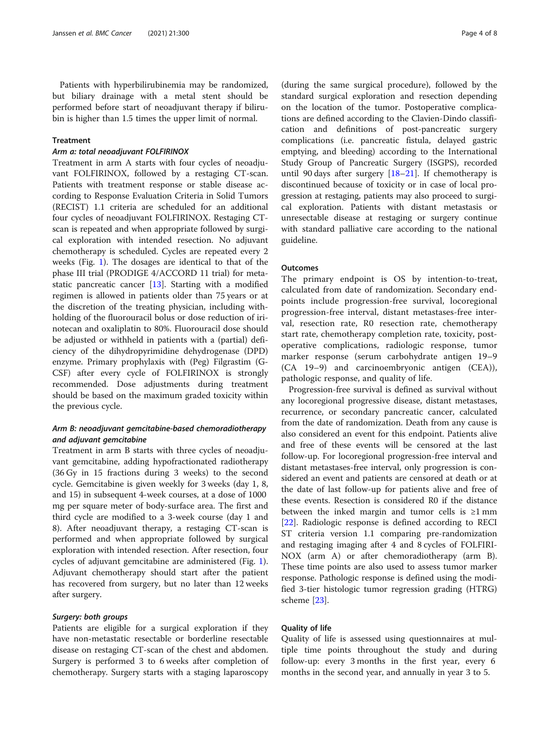Patients with hyperbilirubinemia may be randomized, but biliary drainage with a metal stent should be performed before start of neoadjuvant therapy if bilirubin is higher than 1.5 times the upper limit of normal.

## Treatment

## Arm a: total neoadjuvant FOLFIRINOX

Treatment in arm A starts with four cycles of neoadjuvant FOLFIRINOX, followed by a restaging CT-scan. Patients with treatment response or stable disease according to Response Evaluation Criteria in Solid Tumors (RECIST) 1.1 criteria are scheduled for an additional four cycles of neoadjuvant FOLFIRINOX. Restaging CTscan is repeated and when appropriate followed by surgical exploration with intended resection. No adjuvant chemotherapy is scheduled. Cycles are repeated every 2 weeks (Fig. [1\)](#page-2-0). The dosages are identical to that of the phase III trial (PRODIGE 4/ACCORD 11 trial) for metastatic pancreatic cancer [[13\]](#page-6-0). Starting with a modified regimen is allowed in patients older than 75 years or at the discretion of the treating physician, including withholding of the fluorouracil bolus or dose reduction of irinotecan and oxaliplatin to 80%. Fluorouracil dose should be adjusted or withheld in patients with a (partial) deficiency of the dihydropyrimidine dehydrogenase (DPD) enzyme. Primary prophylaxis with (Peg) Filgrastim (G-CSF) after every cycle of FOLFIRINOX is strongly recommended. Dose adjustments during treatment should be based on the maximum graded toxicity within the previous cycle.

## Arm B: neoadjuvant gemcitabine-based chemoradiotherapy and adjuvant gemcitabine

Treatment in arm B starts with three cycles of neoadjuvant gemcitabine, adding hypofractionated radiotherapy (36 Gy in 15 fractions during 3 weeks) to the second cycle. Gemcitabine is given weekly for 3 weeks (day 1, 8, and 15) in subsequent 4-week courses, at a dose of 1000 mg per square meter of body-surface area. The first and third cycle are modified to a 3-week course (day 1 and 8). After neoadjuvant therapy, a restaging CT-scan is performed and when appropriate followed by surgical exploration with intended resection. After resection, four cycles of adjuvant gemcitabine are administered (Fig. [1](#page-2-0)). Adjuvant chemotherapy should start after the patient has recovered from surgery, but no later than 12 weeks after surgery.

## Surgery: both groups

Patients are eligible for a surgical exploration if they have non-metastatic resectable or borderline resectable disease on restaging CT-scan of the chest and abdomen. Surgery is performed 3 to 6 weeks after completion of chemotherapy. Surgery starts with a staging laparoscopy

(during the same surgical procedure), followed by the standard surgical exploration and resection depending on the location of the tumor. Postoperative complications are defined according to the Clavien-Dindo classification and definitions of post-pancreatic surgery complications (i.e. pancreatic fistula, delayed gastric emptying, and bleeding) according to the International Study Group of Pancreatic Surgery (ISGPS), recorded until 90 days after surgery [\[18](#page-6-0)–[21\]](#page-6-0). If chemotherapy is discontinued because of toxicity or in case of local progression at restaging, patients may also proceed to surgical exploration. Patients with distant metastasis or unresectable disease at restaging or surgery continue with standard palliative care according to the national guideline.

### **Outcomes**

The primary endpoint is OS by intention-to-treat, calculated from date of randomization. Secondary endpoints include progression-free survival, locoregional progression-free interval, distant metastases-free interval, resection rate, R0 resection rate, chemotherapy start rate, chemotherapy completion rate, toxicity, postoperative complications, radiologic response, tumor marker response (serum carbohydrate antigen 19–9 (CA 19–9) and carcinoembryonic antigen (CEA)), pathologic response, and quality of life.

Progression-free survival is defined as survival without any locoregional progressive disease, distant metastases, recurrence, or secondary pancreatic cancer, calculated from the date of randomization. Death from any cause is also considered an event for this endpoint. Patients alive and free of these events will be censored at the last follow-up. For locoregional progression-free interval and distant metastases-free interval, only progression is considered an event and patients are censored at death or at the date of last follow-up for patients alive and free of these events. Resection is considered R0 if the distance between the inked margin and tumor cells is  $\geq 1$  mm [[22\]](#page-7-0). Radiologic response is defined according to RECI ST criteria version 1.1 comparing pre-randomization and restaging imaging after 4 and 8 cycles of FOLFIRI-NOX (arm A) or after chemoradiotherapy (arm B). These time points are also used to assess tumor marker response. Pathologic response is defined using the modified 3-tier histologic tumor regression grading (HTRG) scheme [\[23](#page-7-0)].

## Quality of life

Quality of life is assessed using questionnaires at multiple time points throughout the study and during follow-up: every 3 months in the first year, every 6 months in the second year, and annually in year 3 to 5.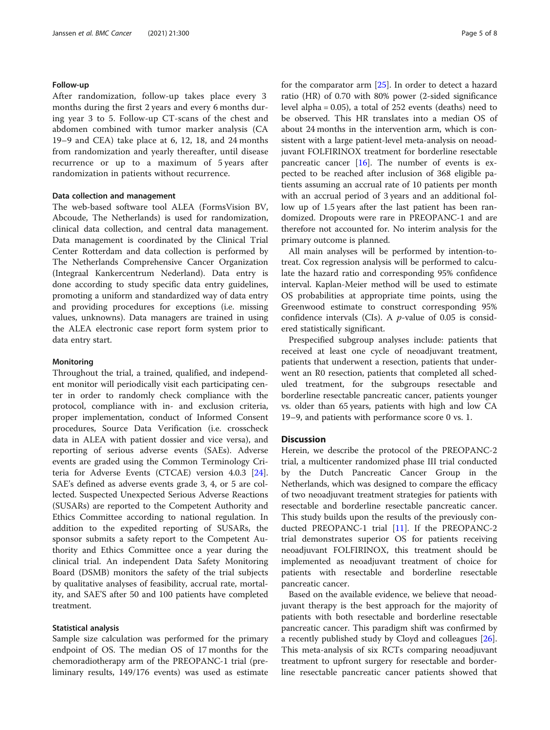#### Follow-up

After randomization, follow-up takes place every 3 months during the first 2 years and every 6 months during year 3 to 5. Follow-up CT-scans of the chest and abdomen combined with tumor marker analysis (CA 19–9 and CEA) take place at 6, 12, 18, and 24 months from randomization and yearly thereafter, until disease recurrence or up to a maximum of 5 years after randomization in patients without recurrence.

#### Data collection and management

The web-based software tool ALEA (FormsVision BV, Abcoude, The Netherlands) is used for randomization, clinical data collection, and central data management. Data management is coordinated by the Clinical Trial Center Rotterdam and data collection is performed by The Netherlands Comprehensive Cancer Organization (Integraal Kankercentrum Nederland). Data entry is done according to study specific data entry guidelines, promoting a uniform and standardized way of data entry and providing procedures for exceptions (i.e. missing values, unknowns). Data managers are trained in using the ALEA electronic case report form system prior to data entry start.

#### **Monitoring**

Throughout the trial, a trained, qualified, and independent monitor will periodically visit each participating center in order to randomly check compliance with the protocol, compliance with in- and exclusion criteria, proper implementation, conduct of Informed Consent procedures, Source Data Verification (i.e. crosscheck data in ALEA with patient dossier and vice versa), and reporting of serious adverse events (SAEs). Adverse events are graded using the Common Terminology Criteria for Adverse Events (CTCAE) version 4.0.3 [\[24](#page-7-0)]. SAE's defined as adverse events grade 3, 4, or 5 are collected. Suspected Unexpected Serious Adverse Reactions (SUSARs) are reported to the Competent Authority and Ethics Committee according to national regulation. In addition to the expedited reporting of SUSARs, the sponsor submits a safety report to the Competent Authority and Ethics Committee once a year during the clinical trial. An independent Data Safety Monitoring Board (DSMB) monitors the safety of the trial subjects by qualitative analyses of feasibility, accrual rate, mortality, and SAE'S after 50 and 100 patients have completed treatment.

## Statistical analysis

Sample size calculation was performed for the primary endpoint of OS. The median OS of 17 months for the chemoradiotherapy arm of the PREOPANC-1 trial (preliminary results, 149/176 events) was used as estimate for the comparator arm [[25\]](#page-7-0). In order to detect a hazard ratio (HR) of 0.70 with 80% power (2-sided significance level alpha = 0.05), a total of 252 events (deaths) need to be observed. This HR translates into a median OS of about 24 months in the intervention arm, which is consistent with a large patient-level meta-analysis on neoadjuvant FOLFIRINOX treatment for borderline resectable pancreatic cancer  $[16]$ . The number of events is expected to be reached after inclusion of 368 eligible patients assuming an accrual rate of 10 patients per month with an accrual period of 3 years and an additional follow up of 1.5 years after the last patient has been randomized. Dropouts were rare in PREOPANC-1 and are therefore not accounted for. No interim analysis for the primary outcome is planned.

All main analyses will be performed by intention-totreat. Cox regression analysis will be performed to calculate the hazard ratio and corresponding 95% confidence interval. Kaplan-Meier method will be used to estimate OS probabilities at appropriate time points, using the Greenwood estimate to construct corresponding 95% confidence intervals (CIs). A  $p$ -value of 0.05 is considered statistically significant.

Prespecified subgroup analyses include: patients that received at least one cycle of neoadjuvant treatment, patients that underwent a resection, patients that underwent an R0 resection, patients that completed all scheduled treatment, for the subgroups resectable and borderline resectable pancreatic cancer, patients younger vs. older than 65 years, patients with high and low CA 19–9, and patients with performance score 0 vs. 1.

#### **Discussion**

Herein, we describe the protocol of the PREOPANC-2 trial, a multicenter randomized phase III trial conducted by the Dutch Pancreatic Cancer Group in the Netherlands, which was designed to compare the efficacy of two neoadjuvant treatment strategies for patients with resectable and borderline resectable pancreatic cancer. This study builds upon the results of the previously conducted PREOPANC-1 trial [\[11](#page-6-0)]. If the PREOPANC-2 trial demonstrates superior OS for patients receiving neoadjuvant FOLFIRINOX, this treatment should be implemented as neoadjuvant treatment of choice for patients with resectable and borderline resectable pancreatic cancer.

Based on the available evidence, we believe that neoadjuvant therapy is the best approach for the majority of patients with both resectable and borderline resectable pancreatic cancer. This paradigm shift was confirmed by a recently published study by Cloyd and colleagues [\[26](#page-7-0)]. This meta-analysis of six RCTs comparing neoadjuvant treatment to upfront surgery for resectable and borderline resectable pancreatic cancer patients showed that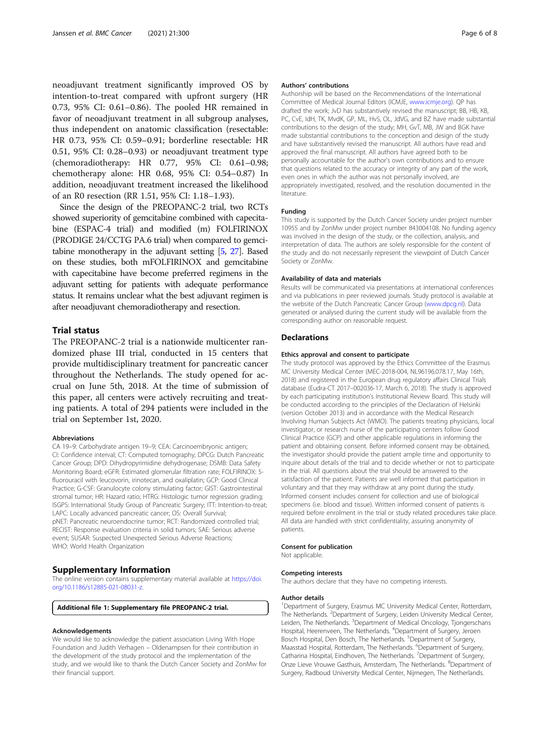<span id="page-5-0"></span>neoadjuvant treatment significantly improved OS by intention-to-treat compared with upfront surgery (HR 0.73, 95% CI: 0.61–0.86). The pooled HR remained in favor of neoadjuvant treatment in all subgroup analyses, thus independent on anatomic classification (resectable: HR 0.73, 95% CI: 0.59–0.91; borderline resectable: HR 0.51, 95% CI: 0.28–0.93) or neoadjuvant treatment type (chemoradiotherapy: HR 0.77, 95% CI: 0.61–0.98; chemotherapy alone: HR 0.68, 95% CI: 0.54–0.87) In addition, neoadjuvant treatment increased the likelihood of an R0 resection (RR 1.51, 95% CI: 1.18–1.93).

Since the design of the PREOPANC-2 trial, two RCTs showed superiority of gemcitabine combined with capecitabine (ESPAC-4 trial) and modified (m) FOLFIRINOX (PRODIGE 24/CCTG PA.6 trial) when compared to gemcitabine monotherapy in the adjuvant setting [[5](#page-6-0), [27\]](#page-7-0). Based on these studies, both mFOLFIRINOX and gemcitabine with capecitabine have become preferred regimens in the adjuvant setting for patients with adequate performance status. It remains unclear what the best adjuvant regimen is after neoadjuvant chemoradiotherapy and resection.

## Trial status

The PREOPANC-2 trial is a nationwide multicenter randomized phase III trial, conducted in 15 centers that provide multidisciplinary treatment for pancreatic cancer throughout the Netherlands. The study opened for accrual on June 5th, 2018. At the time of submission of this paper, all centers were actively recruiting and treating patients. A total of 294 patients were included in the trial on September 1st, 2020.

#### Abbreviations

CA 19–9: Carbohydrate antigen 19–9; CEA: Carcinoembryonic antigen; CI: Confidence interval; CT: Computed tomography; DPCG: Dutch Pancreatic Cancer Group; DPD: Dihydropyrimidine dehydrogenase; DSMB: Data Safety Monitoring Board; eGFR: Estimated glomerular filtration rate; FOLFIRINOX: 5 fluorouracil with leucovorin, irinotecan, and oxaliplatin; GCP: Good Clinical Practice; G-CSF: Granulocyte colony stimulating factor; GIST: Gastrointestinal stromal tumor; HR: Hazard ratio; HTRG: Histologic tumor regression grading; ISGPS: International Study Group of Pancreatic Surgery; ITT: Intention-to-treat; LAPC: Locally advanced pancreatic cancer; OS: Overall Survival; pNET: Pancreatic neuroendocrine tumor; RCT: Randomized controlled trial; RECIST: Response evaluation criteria in solid tumors; SAE: Serious adverse event; SUSAR: Suspected Unexpected Serious Adverse Reactions; WHO: World Health Organization

## Supplementary Information

The online version contains supplementary material available at [https://doi.](https://doi.org/10.1186/s12885-021-08031-z) [org/10.1186/s12885-021-08031-z.](https://doi.org/10.1186/s12885-021-08031-z)

Additional file 1: Supplementary file PREOPANC-2 trial.

#### Acknowledgements

We would like to acknowledge the patient association Living With Hope Foundation and Judith Verhagen – Oldenampsen for their contribution in the development of the study protocol and the implementation of the study, and we would like to thank the Dutch Cancer Society and ZonMw for their financial support.

#### Authors' contributions

Authorship will be based on the Recommendations of the International Committee of Medical Journal Editors (ICMJE, [www.icmje.org\)](http://www.icmje.org). QP has drafted the work; JvD has substantively revised the manuscript; BB, HB, KB, PC, CvE, IdH, TK, MvdK, GP, ML, HvS, OL, JdVG, and BZ have made substantial contributions to the design of the study; MH, GvT, MB, JW and BGK have made substantial contributions to the conception and design of the study and have substantively revised the manuscript. All authors have read and approved the final manuscript. All authors have agreed both to be personally accountable for the author's own contributions and to ensure that questions related to the accuracy or integrity of any part of the work, even ones in which the author was not personally involved, are appropriately investigated, resolved, and the resolution documented in the literature.

#### Funding

This study is supported by the Dutch Cancer Society under project number 10955 and by ZonMw under project number 843004108. No funding agency was involved in the design of the study, or the collection, analysis, and interpretation of data. The authors are solely responsible for the content of the study and do not necessarily represent the viewpoint of Dutch Cancer Society or ZonMw.

#### Availability of data and materials

Results will be communicated via presentations at international conferences and via publications in peer reviewed journals. Study protocol is available at the website of the Dutch Pancreatic Cancer Group ([www.dpcg.nl\)](http://www.dpcg.nl). Data generated or analysed during the current study will be available from the corresponding author on reasonable request.

### **Declarations**

#### Ethics approval and consent to participate

The study protocol was approved by the Ethics Committee of the Erasmus MC University Medical Center (MEC-2018-004, NL96196.078.17, May 16th, 2018) and registered in the European drug regulatory affairs Clinical Trials database (Eudra-CT 2017–002036-17, March 6, 2018). The study is approved by each participating institution's Institutional Review Board. This study will be conducted according to the principles of the Declaration of Helsinki (version October 2013) and in accordance with the Medical Research Involving Human Subjects Act (WMO). The patients treating physicians, local investigator, or research nurse of the participating centers follow Good Clinical Practice (GCP) and other applicable regulations in informing the patient and obtaining consent. Before informed consent may be obtained, the investigator should provide the patient ample time and opportunity to inquire about details of the trial and to decide whether or not to participate in the trial. All questions about the trial should be answered to the satisfaction of the patient. Patients are well informed that participation in voluntary and that they may withdraw at any point during the study. Informed consent includes consent for collection and use of biological specimens (i.e. blood and tissue). Written informed consent of patients is required before enrolment in the trial or study related procedures take place. All data are handled with strict confidentiality, assuring anonymity of patients.

## Consent for publication

Not applicable.

#### Competing interests

The authors declare that they have no competing interests.

#### Author details

<sup>1</sup>Department of Surgery, Erasmus MC University Medical Center, Rotterdam, The Netherlands. <sup>2</sup>Department of Surgery, Leiden University Medical Center Leiden, The Netherlands. <sup>3</sup>Department of Medical Oncology, Tjongerschans Hospital, Heerenveen, The Netherlands. <sup>4</sup>Department of Surgery, Jeroen Bosch Hospital, Den Bosch, The Netherlands. <sup>5</sup>Department of Surgery, Maasstad Hospital, Rotterdam, The Netherlands. <sup>6</sup>Department of Surgery, Catharina Hospital, Eindhoven, The Netherlands. <sup>7</sup> Department of Surgery, Onze Lieve Vrouwe Gasthuis, Amsterdam, The Netherlands. <sup>8</sup>Department of Surgery, Radboud University Medical Center, Nijmegen, The Netherlands.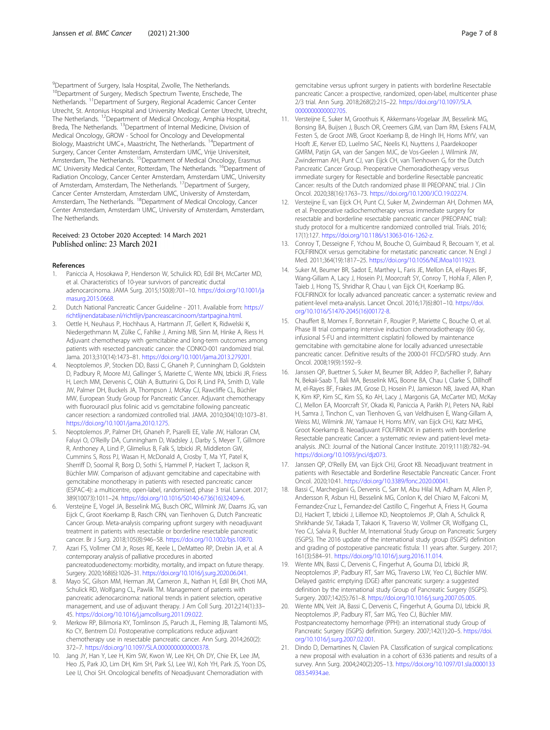<span id="page-6-0"></span><sup>9</sup>Department of Surgery, Isala Hospital, Zwolle, The Netherlands. <sup>10</sup>Department of Surgery, Medisch Spectrum Twente, Enschede, The Netherlands. 11Department of Surgery, Regional Academic Cancer Center Utrecht, St. Antonius Hospital and University Medical Center Utrecht, Utrecht, The Netherlands. 12Department of Medical Oncology, Amphia Hospital, Breda, The Netherlands. <sup>13</sup>Department of Internal Medicine, Division of Medical Oncology, GROW - School for Oncology and Developmental Biology, Maastricht UMC+, Maastricht, The Netherlands. 14Department of Surgery, Cancer Center Amsterdam, Amsterdam UMC, Vrije Universiteit, Amsterdam, The Netherlands. <sup>15</sup>Department of Medical Oncology, Erasmus MC University Medical Center, Rotterdam, The Netherlands. <sup>16</sup>Department of Radiation Oncology, Cancer Center Amsterdam, Amsterdam UMC, University of Amsterdam, Amsterdam, The Netherlands.<sup>17</sup>Department of Surgery, Cancer Center Amsterdam, Amsterdam UMC, University of Amsterdam, Amsterdam, The Netherlands. 18Department of Medical Oncology, Cancer Center Amsterdam, Amsterdam UMC, University of Amsterdam, Amsterdam, The Netherlands.

### Received: 23 October 2020 Accepted: 14 March 2021 Published online: 23 March 2021

#### References

- 1. Paniccia A, Hosokawa P, Henderson W, Schulick RD, Edil BH, McCarter MD, et al. Characteristics of 10-year survivors of pancreatic ductal adenocarcinoma. JAMA Surg. 2015;150(8):701–10. [https://doi.org/10.1001/ja](https://doi.org/10.1001/jamasurg.2015.0668) [masurg.2015.0668.](https://doi.org/10.1001/jamasurg.2015.0668)
- 2. Dutch National Pancreatic Cancer Guideline 2011. Available from: [https://](https://richtlijnendatabase.nl/richtlijn/pancreascarcinoom/startpagina.html) [richtlijnendatabase.nl/richtlijn/pancreascarcinoom/startpagina.html](https://richtlijnendatabase.nl/richtlijn/pancreascarcinoom/startpagina.html).
- Oettle H, Neuhaus P, Hochhaus A, Hartmann JT, Gellert K, Ridwelski K, Niedergethmann M, Zülke C, Fahlke J, Arning MB, Sinn M, Hinke A, Riess H. Adjuvant chemotherapy with gemcitabine and long-term outcomes among patients with resected pancreatic cancer: the CONKO-001 randomized trial. Jama. 2013;310(14):1473–81. <https://doi.org/10.1001/jama.2013.279201>.
- 4. Neoptolemos JP, Stocken DD, Bassi C, Ghaneh P, Cunningham D, Goldstein D, Padbury R, Moore MJ, Gallinger S, Mariette C, Wente MN, Izbicki JR, Friess H, Lerch MM, Dervenis C, Oláh A, Butturini G, Doi R, Lind PA, Smith D, Valle JW, Palmer DH, Buckels JA, Thompson J, McKay CJ, Rawcliffe CL, Büchler MW, European Study Group for Pancreatic Cancer. Adjuvant chemotherapy with fluorouracil plus folinic acid vs gemcitabine following pancreatic cancer resection: a randomized controlled trial. JAMA. 2010;304(10):1073–81. <https://doi.org/10.1001/jama.2010.1275>.
- 5. Neoptolemos JP, Palmer DH, Ghaneh P, Psarelli EE, Valle JW, Halloran CM, Faluyi O, O'Reilly DA, Cunningham D, Wadsley J, Darby S, Meyer T, Gillmore R, Anthoney A, Lind P, Glimelius B, Falk S, Izbicki JR, Middleton GW, Cummins S, Ross PJ, Wasan H, McDonald A, Crosby T, Ma YT, Patel K, Sherriff D, Soomal R, Borg D, Sothi S, Hammel P, Hackert T, Jackson R, Büchler MW. Comparison of adjuvant gemcitabine and capecitabine with gemcitabine monotherapy in patients with resected pancreatic cancer (ESPAC-4): a multicentre, open-label, randomised, phase 3 trial. Lancet. 2017; 389(10073):1011–24. [https://doi.org/10.1016/S0140-6736\(16\)32409-6](https://doi.org/10.1016/S0140-6736(16)32409-6).
- 6. Versteijne E, Vogel JA, Besselink MG, Busch ORC, Wilmink JW, Daams JG, van Eijck C, Groot Koerkamp B, Rasch CRN, van Tienhoven G, Dutch Pancreatic Cancer Group. Meta-analysis comparing upfront surgery with neoadjuvant treatment in patients with resectable or borderline resectable pancreatic cancer. Br J Surg. 2018;105(8):946–58. <https://doi.org/10.1002/bjs.10870>.
- 7. Azari FS, Vollmer CM Jr, Roses RE, Keele L, DeMatteo RP, Drebin JA, et al. A contemporary analysis of palliative procedures in aborted pancreatoduodenectomy: morbidity, mortality, and impact on future therapy. Surgery. 2020;168(6):1026–31. [https://doi.org/10.1016/j.surg.2020.06.041.](https://doi.org/10.1016/j.surg.2020.06.041)
- 8. Mayo SC, Gilson MM, Herman JM, Cameron JL, Nathan H, Edil BH, Choti MA, Schulick RD, Wolfgang CL, Pawlik TM. Management of patients with pancreatic adenocarcinoma: national trends in patient selection, operative management, and use of adjuvant therapy. J Am Coll Surg. 2012;214(1):33– 45. [https://doi.org/10.1016/j.jamcollsurg.2011.09.022.](https://doi.org/10.1016/j.jamcollsurg.2011.09.022)
- 9. Merkow RP, Bilimoria KY, Tomlinson JS, Paruch JL, Fleming JB, Talamonti MS, Ko CY, Bentrem DJ. Postoperative complications reduce adjuvant chemotherapy use in resectable pancreatic cancer. Ann Surg. 2014;260(2): 372–7. [https://doi.org/10.1097/SLA.0000000000000378.](https://doi.org/10.1097/SLA.0000000000000378)
- 10. Jang JY, Han Y, Lee H, Kim SW, Kwon W, Lee KH, Oh DY, Chie EK, Lee JM, Heo JS, Park JO, Lim DH, Kim SH, Park SJ, Lee WJ, Koh YH, Park JS, Yoon DS, Lee IJ, Choi SH. Oncological benefits of Neoadjuvant Chemoradiation with

gemcitabine versus upfront surgery in patients with borderline Resectable pancreatic Cancer: a prospective, randomized, open-label, multicenter phase 2/3 trial. Ann Surg. 2018;268(2):215–22. [https://doi.org/10.1097/SLA.](https://doi.org/10.1097/SLA.0000000000002705) [0000000000002705](https://doi.org/10.1097/SLA.0000000000002705).

- 11. Versteijne E, Suker M, Groothuis K, Akkermans-Vogelaar JM, Besselink MG, Bonsing BA, Buijsen J, Busch OR, Creemers GJM, van Dam RM, Eskens FALM, Festen S, de Groot JWB, Groot Koerkamp B, de Hingh IH, Homs MYV, van Hooft JE, Kerver ED, Luelmo SAC, Neelis KJ, Nuyttens J, Paardekooper GMRM, Patijn GA, van der Sangen MJC, de Vos-Geelen J, Wilmink JW, Zwinderman AH, Punt CJ, van Eijck CH, van Tienhoven G, for the Dutch Pancreatic Cancer Group. Preoperative Chemoradiotherapy versus immediate surgery for Resectable and borderline Resectable pancreatic Cancer: results of the Dutch randomized phase III PREOPANC trial. J Clin Oncol. 2020;38(16):1763–73. <https://doi.org/10.1200/JCO.19.02274>.
- 12. Versteijne E, van Eijck CH, Punt CJ, Suker M, Zwinderman AH, Dohmen MA, et al. Preoperative radiochemotherapy versus immediate surgery for resectable and borderline resectable pancreatic cancer (PREOPANC trial): study protocol for a multicentre randomized controlled trial. Trials. 2016; 17(1):127. <https://doi.org/10.1186/s13063-016-1262-z>.
- 13. Conroy T, Desseigne F, Ychou M, Bouche O, Guimbaud R, Becouarn Y, et al. FOLFIRINOX versus gemcitabine for metastatic pancreatic cancer. N Engl J Med. 2011;364(19):1817–25. [https://doi.org/10.1056/NEJMoa1011923.](https://doi.org/10.1056/NEJMoa1011923)
- 14. Suker M, Beumer BR, Sadot E, Marthey L, Faris JE, Mellon EA, el-Rayes BF, Wang-Gillam A, Lacy J, Hosein PJ, Moorcraft SY, Conroy T, Hohla F, Allen P, Taieb J, Hong TS, Shridhar R, Chau I, van Eijck CH, Koerkamp BG. FOLFIRINOX for locally advanced pancreatic cancer: a systematic review and patient-level meta-analysis. Lancet Oncol. 2016;17(6):801–10. [https://doi.](https://doi.org/10.1016/S1470-2045(16)00172-8) [org/10.1016/S1470-2045\(16\)00172-8.](https://doi.org/10.1016/S1470-2045(16)00172-8)
- 15. Chauffert B, Mornex F, Bonnetain F, Rougier P, Mariette C, Bouche O, et al. Phase III trial comparing intensive induction chemoradiotherapy (60 Gy, infusional 5-FU and intermittent cisplatin) followed by maintenance gemcitabine with gemcitabine alone for locally advanced unresectable pancreatic cancer. Definitive results of the 2000-01 FFCD/SFRO study. Ann Oncol. 2008;19(9):1592–9.
- 16. Janssen QP, Buettner S, Suker M, Beumer BR, Addeo P, Bachellier P, Bahary N, Bekaii-Saab T, Bali MA, Besselink MG, Boone BA, Chau I, Clarke S, Dillhoff M, el-Rayes BF, Frakes JM, Grose D, Hosein PJ, Jamieson NB, Javed AA, Khan K, Kim KP, Kim SC, Kim SS, Ko AH, Lacy J, Margonis GA, McCarter MD, McKay CJ, Mellon EA, Moorcraft SY, Okada KI, Paniccia A, Parikh PJ, Peters NA, Rabl H, Samra J, Tinchon C, van Tienhoven G, van Veldhuisen E, Wang-Gillam A, Weiss MJ, Wilmink JW, Yamaue H, Homs MYV, van Eijck CHJ, Katz MHG, Groot Koerkamp B. Neoadjuvant FOLFIRINOX in patients with borderline Resectable pancreatic Cancer: a systematic review and patient-level metaanalysis. JNCI: Journal of the National Cancer Institute. 2019;111(8):782–94. [https://doi.org/10.1093/jnci/djz073.](https://doi.org/10.1093/jnci/djz073)
- 17. Janssen QP, O'Reilly EM, van Eijck CHJ, Groot KB. Neoadjuvant treatment in patients with Resectable and Borderline Resectable Pancreatic Cancer. Front Oncol. 2020;10:41. [https://doi.org/10.3389/fonc.2020.00041.](https://doi.org/10.3389/fonc.2020.00041)
- 18. Bassi C, Marchegiani G, Dervenis C, Sarr M, Abu Hilal M, Adham M, Allen P, Andersson R, Asbun HJ, Besselink MG, Conlon K, del Chiaro M, Falconi M, Fernandez-Cruz L, Fernandez-del Castillo C, Fingerhut A, Friess H, Gouma DJ, Hackert T, Izbicki J, Lillemoe KD, Neoptolemos JP, Olah A, Schulick R, Shrikhande SV, Takada T, Takaori K, Traverso W, Vollmer CR, Wolfgang CL, Yeo CJ, Salvia R, Buchler M, International Study Group on Pancreatic Surgery (ISGPS). The 2016 update of the international study group (ISGPS) definition and grading of postoperative pancreatic fistula: 11 years after. Surgery. 2017; 161(3):584–91. [https://doi.org/10.1016/j.surg.2016.11.014.](https://doi.org/10.1016/j.surg.2016.11.014)
- 19. Wente MN, Bassi C, Dervenis C, Fingerhut A, Gouma DJ, Izbicki JR, Neoptolemos JP, Padbury RT, Sarr MG, Traverso LW, Yeo CJ, Büchler MW. Delayed gastric emptying (DGE) after pancreatic surgery: a suggested definition by the international study Group of Pancreatic Surgery (ISGPS). Surgery. 2007;142(5):761–8. [https://doi.org/10.1016/j.surg.2007.05.005.](https://doi.org/10.1016/j.surg.2007.05.005)
- 20. Wente MN, Veit JA, Bassi C, Dervenis C, Fingerhut A, Gouma DJ, Izbicki JR, Neoptolemos JP, Padbury RT, Sarr MG, Yeo CJ, Büchler MW. Postpancreatectomy hemorrhage (PPH): an international study Group of Pancreatic Surgery (ISGPS) definition. Surgery. 2007;142(1):20–5. [https://doi.](https://doi.org/10.1016/j.surg.2007.02.001) [org/10.1016/j.surg.2007.02.001](https://doi.org/10.1016/j.surg.2007.02.001).
- 21. Dindo D, Demartines N, Clavien PA. Classification of surgical complications: a new proposal with evaluation in a cohort of 6336 patients and results of a survey. Ann Surg. 2004;240(2):205–13. [https://doi.org/10.1097/01.sla.0000133](https://doi.org/10.1097/01.sla.0000133083.54934.ae) [083.54934.ae.](https://doi.org/10.1097/01.sla.0000133083.54934.ae)